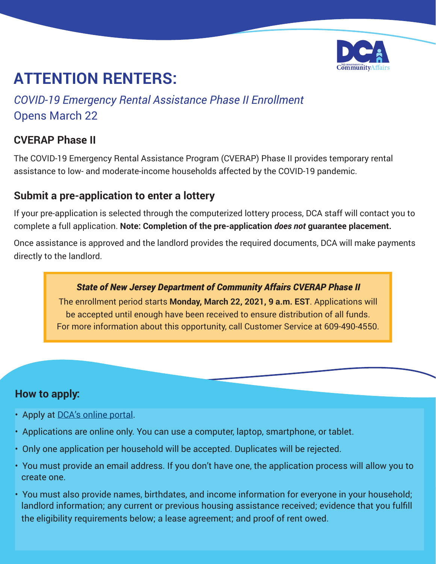

# **ATTENTION RENTERS:**

*COVID-19 Emergency Rental Assistance Phase II Enrollment* Opens March 22

# **CVERAP Phase II**

The COVID-19 Emergency Rental Assistance Program (CVERAP) Phase II provides temporary rental assistance to low- and moderate-income households affected by the COVID-19 pandemic.

# **Submit a pre-application to enter a lottery**

If your pre-application is selected through the computerized lottery process, DCA staff will contact you to complete a full application. **Note: Completion of the pre-application** *does not* **guarantee placement.** 

Once assistance is approved and the landlord provides the required documents, DCA will make payments directly to the landlord.

#### *State of New Jersey Department of Community Affairs CVERAP Phase II*

The enrollment period starts **Monday, March 22, 2021, 9 a.m. EST**. Applications will be accepted until enough have been received to ensure distribution of all funds. For more information about this opportunity, call Customer Service at 609-490-4550.

#### **How to apply:**

- Apply at [DCA's online portal.](https://njdca.onlinepha.com)
- Applications are online only. You can use a computer, laptop, smartphone, or tablet.
- Only one application per household will be accepted. Duplicates will be rejected.
- You must provide an email address. If you don't have one, the application process will allow you to create one.
- You must also provide names, birthdates, and income information for everyone in your household; landlord information; any current or previous housing assistance received; evidence that you fulfill the eligibility requirements below; a lease agreement; and proof of rent owed.